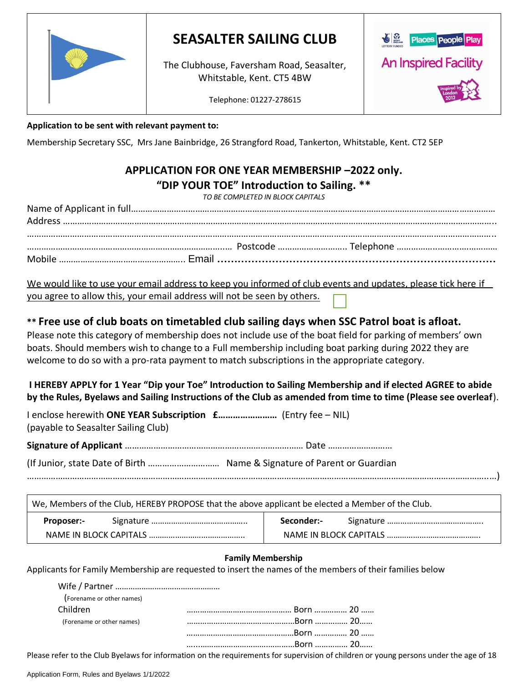

# **SEASALTER SAILING CLUB**

The Clubhouse, Faversham Road, Seasalter, Whitstable, Kent. CT5 4BW



Telephone: 01227-278615

## **Application to be sent with relevant payment to:**

Membership Secretary SSC, Mrs Jane Bainbridge, 26 Strangford Road, Tankerton, Whitstable, Kent. CT2 5EP

## **APPLICATION FOR ONE YEAR MEMBERSHIP –2022 only. "DIP YOUR TOE" Introduction to Sailing. \*\***

*TO BE COMPLETED IN BLOCK CAPITALS*

We would like to use your email address to keep you informed of club events and updates, please tick here if you agree to allow this, your email address will not be seen by others.

## **\*\* Free use of club boats on timetabled club sailing days when SSC Patrol boat is afloat.**

Please note this category of membership does not include use of the boat field for parking of members' own boats. Should members wish to change to a Full membership including boat parking during 2022 they are welcome to do so with a pro-rata payment to match subscriptions in the appropriate category.

**I HEREBY APPLY for 1 Year "Dip your Toe" Introduction to Sailing Membership and if elected AGREE to abide by the Rules, Byelaws and Sailing Instructions of the Club as amended from time to time (Please see overleaf**).

| (payable to Seasalter Sailing Club) |  |
|-------------------------------------|--|

**Signature of Applicant** ………………………………………………………………… Date ………………………

(If Junior, state Date of Birth ………………………… Name & Signature of Parent or Guardian

…………………………………………………………………………………………………………………………………………………………………………..…)

| We, Members of the Club, HEREBY PROPOSE that the above applicant be elected a Member of the Club. |  |            |  |  |
|---------------------------------------------------------------------------------------------------|--|------------|--|--|
| <b>Proposer:-</b>                                                                                 |  | Seconder:- |  |  |
|                                                                                                   |  |            |  |  |

## **Family Membership**

Applicants for Family Membership are requested to insert the names of the members of their families below

| (Forename or other names) |  |
|---------------------------|--|
| Children                  |  |
| (Forename or other names) |  |
|                           |  |
|                           |  |

Please refer to the Club Byelaws for information on the requirements for supervision of children or young persons under the age of 18

Wife / Partner …………………………………………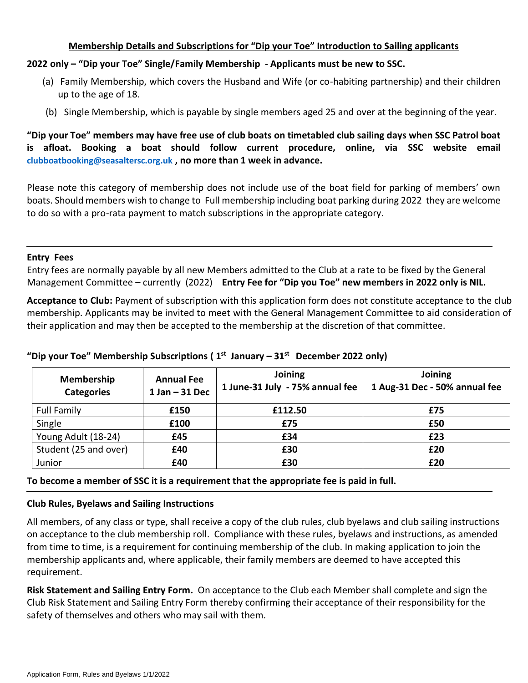## **Membership Details and Subscriptions for "Dip your Toe" Introduction to Sailing applicants**

## **2022 only – "Dip your Toe" Single/Family Membership - Applicants must be new to SSC.**

- (a) Family Membership, which covers the Husband and Wife (or co-habiting partnership) and their children up to the age of 18.
- (b) Single Membership, which is payable by single members aged 25 and over at the beginning of the year.

**"Dip your Toe" members may have free use of club boats on timetabled club sailing days when SSC Patrol boat is afloat. Booking a boat should follow current procedure, online, via SSC website email [clubboatbooking@seasaltersc.org.uk](mailto:clubboatbooking@seasaltersc.org.uk) , no more than 1 week in advance.**

Please note this category of membership does not include use of the boat field for parking of members' own boats. Should members wish to change to Full membership including boat parking during 2022 they are welcome to do so with a pro-rata payment to match subscriptions in the appropriate category.

#### **Entry Fees**

Entry fees are normally payable by all new Members admitted to the Club at a rate to be fixed by the General Management Committee – currently (2022) **Entry Fee for "Dip you Toe" new members in 2022 only is NIL.**

**Acceptance to Club:** Payment of subscription with this application form does not constitute acceptance to the club membership. Applicants may be invited to meet with the General Management Committee to aid consideration of their application and may then be accepted to the membership at the discretion of that committee.

| Membership<br><b>Categories</b> | <b>Annual Fee</b><br>$1$ Jan $-$ 31 Dec | Joining<br>1 June-31 July - 75% annual fee | Joining<br>1 Aug-31 Dec - 50% annual fee |  |
|---------------------------------|-----------------------------------------|--------------------------------------------|------------------------------------------|--|
| <b>Full Family</b>              | £150                                    | £112.50                                    | £75                                      |  |
| Single                          | £100                                    | £75                                        | £50                                      |  |
| Young Adult (18-24)             | £45                                     | £34                                        | £23                                      |  |
| Student (25 and over)           | £40                                     | £30                                        | £20                                      |  |
| Junior                          | £40                                     | £30                                        | £20                                      |  |

## **"Dip your Toe" Membership Subscriptions ( 1st January – 31st December 2022 only)**

**To become a member of SSC it is a requirement that the appropriate fee is paid in full.**

## **Club Rules, Byelaws and Sailing Instructions**

All members, of any class or type, shall receive a copy of the club rules, club byelaws and club sailing instructions on acceptance to the club membership roll. Compliance with these rules, byelaws and instructions, as amended from time to time, is a requirement for continuing membership of the club. In making application to join the membership applicants and, where applicable, their family members are deemed to have accepted this requirement.

**Risk Statement and Sailing Entry Form.** On acceptance to the Club each Member shall complete and sign the Club Risk Statement and Sailing Entry Form thereby confirming their acceptance of their responsibility for the safety of themselves and others who may sail with them.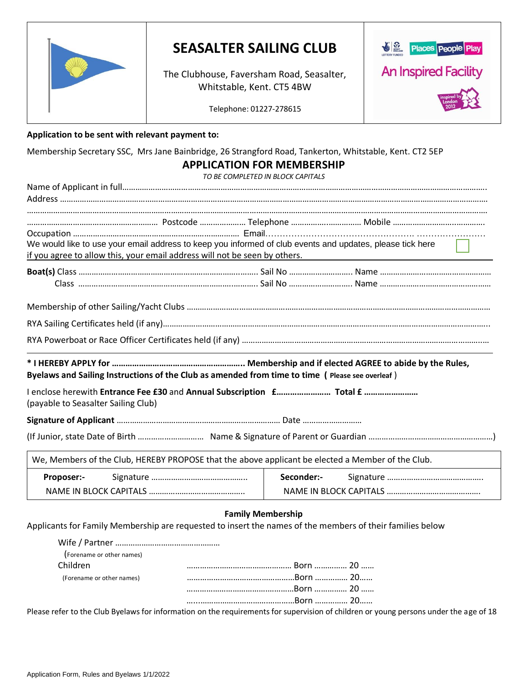

# **SEASALTER SAILING CLUB**

The Clubhouse, Faversham Road, Seasalter, Whitstable, Kent. CT5 4BW



Telephone: 01227-278615

#### **Application to be sent with relevant payment to:**

Membership Secretary SSC, Mrs Jane Bainbridge, 26 Strangford Road, Tankerton, Whitstable, Kent. CT2 5EP

## **APPLICATION FOR MEMBERSHIP**

*TO BE COMPLETED IN BLOCK CAPITALS*

| if you agree to allow this, your email address will not be seen by others. |                                                                                                   | We would like to use your email address to keep you informed of club events and updates, please tick here |
|----------------------------------------------------------------------------|---------------------------------------------------------------------------------------------------|-----------------------------------------------------------------------------------------------------------|
|                                                                            |                                                                                                   |                                                                                                           |
|                                                                            |                                                                                                   |                                                                                                           |
|                                                                            |                                                                                                   |                                                                                                           |
|                                                                            |                                                                                                   |                                                                                                           |
|                                                                            |                                                                                                   |                                                                                                           |
|                                                                            | Byelaws and Sailing Instructions of the Club as amended from time to time ( Please see overleaf ) |                                                                                                           |
|                                                                            |                                                                                                   |                                                                                                           |
| (payable to Seasalter Sailing Club)                                        |                                                                                                   |                                                                                                           |
|                                                                            |                                                                                                   |                                                                                                           |
|                                                                            |                                                                                                   |                                                                                                           |
|                                                                            | We, Members of the Club, HEREBY PROPOSE that the above applicant be elected a Member of the Club. |                                                                                                           |
| Proposer:-                                                                 | Seconder:-                                                                                        |                                                                                                           |

## **Family Membership**

Applicants for Family Membership are requested to insert the names of the members of their families below

| (Forename or other names) |  |  |
|---------------------------|--|--|
| Children                  |  |  |
| (Forename or other names) |  |  |
|                           |  |  |
|                           |  |  |
|                           |  |  |

Please refer to the Club Byelaws for information on the requirements for supervision of children or young persons under the age of 18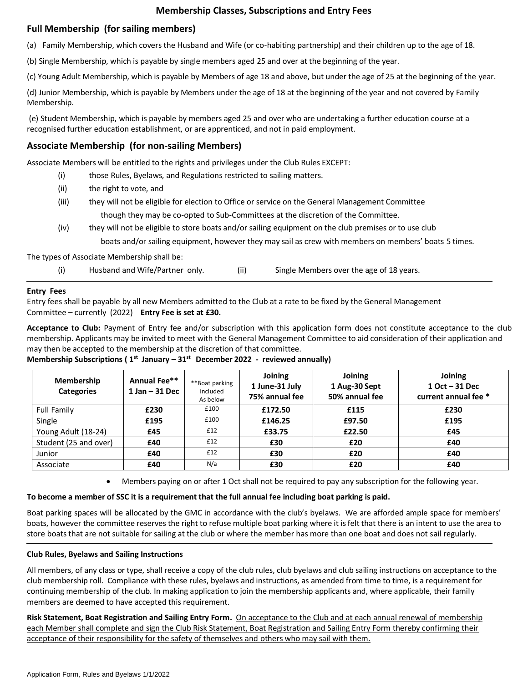## **Membership Classes, Subscriptions and Entry Fees**

## **Full Membership (for sailing members)**

(a) Family Membership, which covers the Husband and Wife (or co-habiting partnership) and their children up to the age of 18.

(b) Single Membership, which is payable by single members aged 25 and over at the beginning of the year.

(c) Young Adult Membership, which is payable by Members of age 18 and above, but under the age of 25 at the beginning of the year.

(d) Junior Membership, which is payable by Members under the age of 18 at the beginning of the year and not covered by Family Membership.

(e) Student Membership, which is payable by members aged 25 and over who are undertaking a further education course at a recognised further education establishment, or are apprenticed, and not in paid employment.

## **Associate Membership (for non-sailing Members)**

Associate Members will be entitled to the rights and privileges under the Club Rules EXCEPT:

- (i) those Rules, Byelaws, and Regulations restricted to sailing matters.
- (ii) the right to vote, and
- (iii) they will not be eligible for election to Office or service on the General Management Committee though they may be co-opted to Sub-Committees at the discretion of the Committee.
- (iv) they will not be eligible to store boats and/or sailing equipment on the club premises or to use club boats and/or sailing equipment, however they may sail as crew with members on members' boats 5 times.

The types of Associate Membership shall be:

(i) Husband and Wife/Partner only. (ii) Single Members over the age of 18 years.

#### **Entry Fees**

Entry fees shall be payable by all new Members admitted to the Club at a rate to be fixed by the General Management Committee – currently (2022) **Entry Fee is set at £30.**

**Acceptance to Club:** Payment of Entry fee and/or subscription with this application form does not constitute acceptance to the club membership. Applicants may be invited to meet with the General Management Committee to aid consideration of their application and may then be accepted to the membership at the discretion of that committee.

| <b>Membership</b><br><b>Categories</b> | Annual Fee**<br>$1$ Jan $-31$ Dec | **Boat parking<br>included<br>As below | Joining<br>1 June-31 July<br>75% annual fee | Joining<br>1 Aug-30 Sept<br>50% annual fee | Joining<br>$1$ Oct $-31$ Dec<br>current annual fee * |
|----------------------------------------|-----------------------------------|----------------------------------------|---------------------------------------------|--------------------------------------------|------------------------------------------------------|
| <b>Full Family</b>                     | £230                              | £100                                   | £172.50                                     | £115                                       | £230                                                 |
| Single                                 | £195                              | £100                                   | £146.25                                     | £97.50                                     | £195                                                 |
| Young Adult (18-24)                    | £45                               | £12                                    | £33.75                                      | £22.50                                     | £45                                                  |
| Student (25 and over)                  | £40                               | £12                                    | £30                                         | £20                                        | £40                                                  |
| Junior                                 | £40                               | £12                                    | £30                                         | £20                                        | £40                                                  |
| Associate                              | £40                               | N/a                                    | £30                                         | £20                                        | £40                                                  |

**Membership Subscriptions ( 1st January – 31st December 2022 - reviewed annually)**

• Members paying on or after 1 Oct shall not be required to pay any subscription for the following year.

#### **To become a member of SSC it is a requirement that the full annual fee including boat parking is paid.**

Boat parking spaces will be allocated by the GMC in accordance with the club's byelaws. We are afforded ample space for members' boats, however the committee reserves the right to refuse multiple boat parking where it is felt that there is an intent to use the area to store boats that are not suitable for sailing at the club or where the member has more than one boat and does not sail regularly.

#### **Club Rules, Byelaws and Sailing Instructions**

All members, of any class or type, shall receive a copy of the club rules, club byelaws and club sailing instructions on acceptance to the club membership roll. Compliance with these rules, byelaws and instructions, as amended from time to time, is a requirement for continuing membership of the club. In making application to join the membership applicants and, where applicable, their family members are deemed to have accepted this requirement.

**Risk Statement, Boat Registration and Sailing Entry Form.** On acceptance to the Club and at each annual renewal of membership each Member shall complete and sign the Club Risk Statement, Boat Registration and Sailing Entry Form thereby confirming their acceptance of their responsibility for the safety of themselves and others who may sail with them.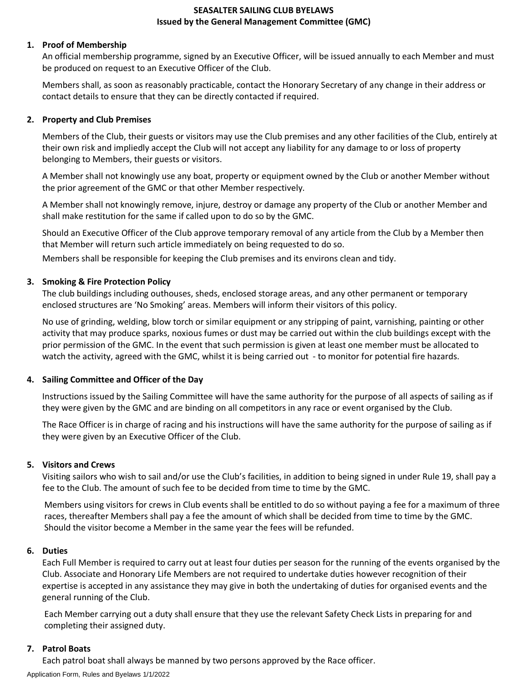### **SEASALTER SAILING CLUB BYELAWS Issued by the General Management Committee (GMC)**

### **1. Proof of Membership**

An official membership programme, signed by an Executive Officer, will be issued annually to each Member and must be produced on request to an Executive Officer of the Club.

Members shall, as soon as reasonably practicable, contact the Honorary Secretary of any change in their address or contact details to ensure that they can be directly contacted if required.

#### **2. Property and Club Premises**

Members of the Club, their guests or visitors may use the Club premises and any other facilities of the Club, entirely at their own risk and impliedly accept the Club will not accept any liability for any damage to or loss of property belonging to Members, their guests or visitors.

A Member shall not knowingly use any boat, property or equipment owned by the Club or another Member without the prior agreement of the GMC or that other Member respectively.

A Member shall not knowingly remove, injure, destroy or damage any property of the Club or another Member and shall make restitution for the same if called upon to do so by the GMC.

Should an Executive Officer of the Club approve temporary removal of any article from the Club by a Member then that Member will return such article immediately on being requested to do so.

Members shall be responsible for keeping the Club premises and its environs clean and tidy.

#### **3. Smoking & Fire Protection Policy**

The club buildings including outhouses, sheds, enclosed storage areas, and any other permanent or temporary enclosed structures are 'No Smoking' areas. Members will inform their visitors of this policy.

No use of grinding, welding, blow torch or similar equipment or any stripping of paint, varnishing, painting or other activity that may produce sparks, noxious fumes or dust may be carried out within the club buildings except with the prior permission of the GMC. In the event that such permission is given at least one member must be allocated to watch the activity, agreed with the GMC, whilst it is being carried out - to monitor for potential fire hazards.

#### **4. Sailing Committee and Officer of the Day**

Instructions issued by the Sailing Committee will have the same authority for the purpose of all aspects of sailing as if they were given by the GMC and are binding on all competitors in any race or event organised by the Club.

The Race Officer is in charge of racing and his instructions will have the same authority for the purpose of sailing as if they were given by an Executive Officer of the Club.

#### **5. Visitors and Crews**

Visiting sailors who wish to sail and/or use the Club's facilities, in addition to being signed in under Rule 19, shall pay a fee to the Club. The amount of such fee to be decided from time to time by the GMC.

Members using visitors for crews in Club events shall be entitled to do so without paying a fee for a maximum of three races, thereafter Members shall pay a fee the amount of which shall be decided from time to time by the GMC. Should the visitor become a Member in the same year the fees will be refunded.

#### **6. Duties**

Each Full Member is required to carry out at least four duties per season for the running of the events organised by the Club. Associate and Honorary Life Members are not required to undertake duties however recognition of their expertise is accepted in any assistance they may give in both the undertaking of duties for organised events and the general running of the Club.

Each Member carrying out a duty shall ensure that they use the relevant Safety Check Lists in preparing for and completing their assigned duty.

#### **7. Patrol Boats**

Each patrol boat shall always be manned by two persons approved by the Race officer.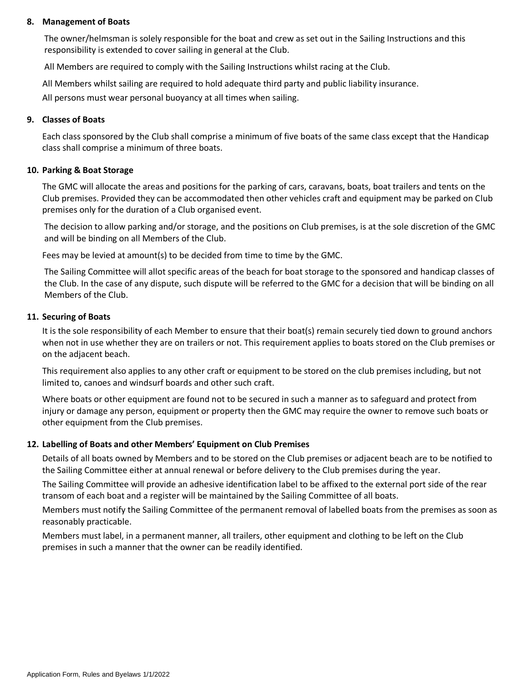#### **8. Management of Boats**

The owner/helmsman is solely responsible for the boat and crew as set out in the Sailing Instructions and this responsibility is extended to cover sailing in general at the Club.

All Members are required to comply with the Sailing Instructions whilst racing at the Club.

All Members whilst sailing are required to hold adequate third party and public liability insurance.

All persons must wear personal buoyancy at all times when sailing.

## **9. Classes of Boats**

Each class sponsored by the Club shall comprise a minimum of five boats of the same class except that the Handicap class shall comprise a minimum of three boats.

## **10. Parking & Boat Storage**

The GMC will allocate the areas and positions for the parking of cars, caravans, boats, boat trailers and tents on the Club premises. Provided they can be accommodated then other vehicles craft and equipment may be parked on Club premises only for the duration of a Club organised event.

The decision to allow parking and/or storage, and the positions on Club premises, is at the sole discretion of the GMC and will be binding on all Members of the Club.

Fees may be levied at amount(s) to be decided from time to time by the GMC.

The Sailing Committee will allot specific areas of the beach for boat storage to the sponsored and handicap classes of the Club. In the case of any dispute, such dispute will be referred to the GMC for a decision that will be binding on all Members of the Club.

## **11. Securing of Boats**

It is the sole responsibility of each Member to ensure that their boat(s) remain securely tied down to ground anchors when not in use whether they are on trailers or not. This requirement applies to boats stored on the Club premises or on the adjacent beach.

This requirement also applies to any other craft or equipment to be stored on the club premises including, but not limited to, canoes and windsurf boards and other such craft.

Where boats or other equipment are found not to be secured in such a manner as to safeguard and protect from injury or damage any person, equipment or property then the GMC may require the owner to remove such boats or other equipment from the Club premises.

## **12. Labelling of Boats and other Members' Equipment on Club Premises**

Details of all boats owned by Members and to be stored on the Club premises or adjacent beach are to be notified to the Sailing Committee either at annual renewal or before delivery to the Club premises during the year.

The Sailing Committee will provide an adhesive identification label to be affixed to the external port side of the rear transom of each boat and a register will be maintained by the Sailing Committee of all boats.

Members must notify the Sailing Committee of the permanent removal of labelled boats from the premises as soon as reasonably practicable.

Members must label, in a permanent manner, all trailers, other equipment and clothing to be left on the Club premises in such a manner that the owner can be readily identified.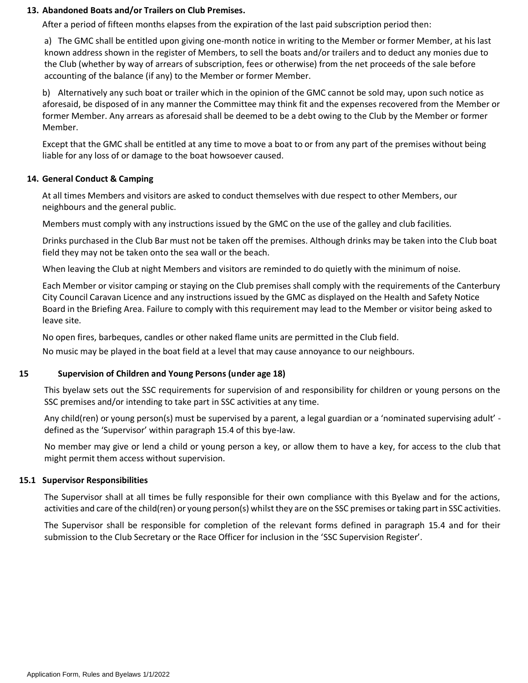#### **13. Abandoned Boats and/or Trailers on Club Premises.**

After a period of fifteen months elapses from the expiration of the last paid subscription period then:

a) The GMC shall be entitled upon giving one-month notice in writing to the Member or former Member, at his last known address shown in the register of Members, to sell the boats and/or trailers and to deduct any monies due to the Club (whether by way of arrears of subscription, fees or otherwise) from the net proceeds of the sale before accounting of the balance (if any) to the Member or former Member.

b) Alternatively any such boat or trailer which in the opinion of the GMC cannot be sold may, upon such notice as aforesaid, be disposed of in any manner the Committee may think fit and the expenses recovered from the Member or former Member. Any arrears as aforesaid shall be deemed to be a debt owing to the Club by the Member or former Member.

Except that the GMC shall be entitled at any time to move a boat to or from any part of the premises without being liable for any loss of or damage to the boat howsoever caused.

#### **14. General Conduct & Camping**

At all times Members and visitors are asked to conduct themselves with due respect to other Members, our neighbours and the general public.

Members must comply with any instructions issued by the GMC on the use of the galley and club facilities.

Drinks purchased in the Club Bar must not be taken off the premises. Although drinks may be taken into the Club boat field they may not be taken onto the sea wall or the beach.

When leaving the Club at night Members and visitors are reminded to do quietly with the minimum of noise.

Each Member or visitor camping or staying on the Club premises shall comply with the requirements of the Canterbury City Council Caravan Licence and any instructions issued by the GMC as displayed on the Health and Safety Notice Board in the Briefing Area. Failure to comply with this requirement may lead to the Member or visitor being asked to leave site.

No open fires, barbeques, candles or other naked flame units are permitted in the Club field.

No music may be played in the boat field at a level that may cause annoyance to our neighbours.

#### **15 Supervision of Children and Young Persons (under age 18)**

This byelaw sets out the SSC requirements for supervision of and responsibility for children or young persons on the SSC premises and/or intending to take part in SSC activities at any time.

Any child(ren) or young person(s) must be supervised by a parent, a legal guardian or a 'nominated supervising adult' defined as the 'Supervisor' within paragraph 15.4 of this bye-law.

No member may give or lend a child or young person a key, or allow them to have a key, for access to the club that might permit them access without supervision.

#### **15.1 Supervisor Responsibilities**

The Supervisor shall at all times be fully responsible for their own compliance with this Byelaw and for the actions, activities and care of the child(ren) or young person(s) whilst they are on the SSC premises or taking part in SSC activities.

The Supervisor shall be responsible for completion of the relevant forms defined in paragraph 15.4 and for their submission to the Club Secretary or the Race Officer for inclusion in the 'SSC Supervision Register'.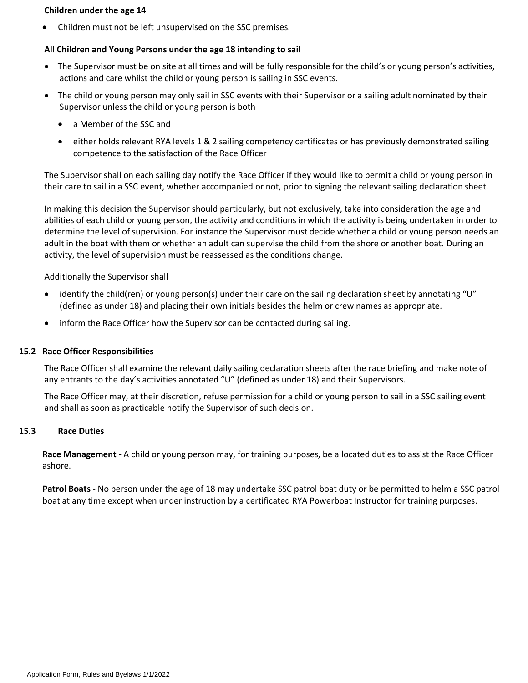#### **Children under the age 14**

• Children must not be left unsupervised on the SSC premises.

#### **All Children and Young Persons under the age 18 intending to sail**

- The Supervisor must be on site at all times and will be fully responsible for the child's or young person's activities, actions and care whilst the child or young person is sailing in SSC events.
- The child or young person may only sail in SSC events with their Supervisor or a sailing adult nominated by their Supervisor unless the child or young person is both
	- a Member of the SSC and
	- either holds relevant RYA levels 1 & 2 sailing competency certificates or has previously demonstrated sailing competence to the satisfaction of the Race Officer

The Supervisor shall on each sailing day notify the Race Officer if they would like to permit a child or young person in their care to sail in a SSC event, whether accompanied or not, prior to signing the relevant sailing declaration sheet.

In making this decision the Supervisor should particularly, but not exclusively, take into consideration the age and abilities of each child or young person, the activity and conditions in which the activity is being undertaken in order to determine the level of supervision. For instance the Supervisor must decide whether a child or young person needs an adult in the boat with them or whether an adult can supervise the child from the shore or another boat. During an activity, the level of supervision must be reassessed as the conditions change.

#### Additionally the Supervisor shall

- identify the child(ren) or young person(s) under their care on the sailing declaration sheet by annotating "U" (defined as under 18) and placing their own initials besides the helm or crew names as appropriate.
- inform the Race Officer how the Supervisor can be contacted during sailing.

#### **15.2 Race Officer Responsibilities**

The Race Officer shall examine the relevant daily sailing declaration sheets after the race briefing and make note of any entrants to the day's activities annotated "U" (defined as under 18) and their Supervisors.

The Race Officer may, at their discretion, refuse permission for a child or young person to sail in a SSC sailing event and shall as soon as practicable notify the Supervisor of such decision.

#### **15.3 Race Duties**

**Race Management -** A child or young person may, for training purposes, be allocated duties to assist the Race Officer ashore.

**Patrol Boats -** No person under the age of 18 may undertake SSC patrol boat duty or be permitted to helm a SSC patrol boat at any time except when under instruction by a certificated RYA Powerboat Instructor for training purposes.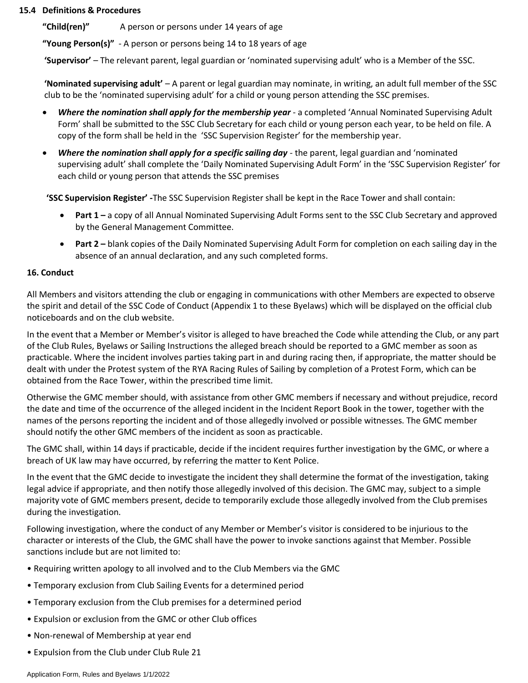#### **15.4 Definitions & Procedures**

**"Child(ren)"** A person or persons under 14 years of age

**"Young Person(s)"** - A person or persons being 14 to 18 years of age

**'Supervisor'** – The relevant parent, legal guardian or 'nominated supervising adult' who is a Member of the SSC.

**'Nominated supervising adult'** – A parent or legal guardian may nominate, in writing, an adult full member of the SSC club to be the 'nominated supervising adult' for a child or young person attending the SSC premises.

- *Where the nomination shall apply for the membership year* a completed 'Annual Nominated Supervising Adult Form' shall be submitted to the SSC Club Secretary for each child or young person each year, to be held on file. A copy of the form shall be held in the 'SSC Supervision Register' for the membership year.
- *Where the nomination shall apply for a specific sailing day -* the parent, legal guardian and 'nominated supervising adult' shall complete the 'Daily Nominated Supervising Adult Form' in the 'SSC Supervision Register' for each child or young person that attends the SSC premises

**'SSC Supervision Register' -**The SSC Supervision Register shall be kept in the Race Tower and shall contain:

- **Part 1 –** a copy of all Annual Nominated Supervising Adult Forms sent to the SSC Club Secretary and approved by the General Management Committee.
- **Part 2 –** blank copies of the Daily Nominated Supervising Adult Form for completion on each sailing day in the absence of an annual declaration, and any such completed forms.

#### **16. Conduct**

All Members and visitors attending the club or engaging in communications with other Members are expected to observe the spirit and detail of the SSC Code of Conduct (Appendix 1 to these Byelaws) which will be displayed on the official club noticeboards and on the club website.

In the event that a Member or Member's visitor is alleged to have breached the Code while attending the Club, or any part of the Club Rules, Byelaws or Sailing Instructions the alleged breach should be reported to a GMC member as soon as practicable. Where the incident involves parties taking part in and during racing then, if appropriate, the matter should be dealt with under the Protest system of the RYA Racing Rules of Sailing by completion of a Protest Form, which can be obtained from the Race Tower, within the prescribed time limit.

Otherwise the GMC member should, with assistance from other GMC members if necessary and without prejudice, record the date and time of the occurrence of the alleged incident in the Incident Report Book in the tower, together with the names of the persons reporting the incident and of those allegedly involved or possible witnesses. The GMC member should notify the other GMC members of the incident as soon as practicable.

The GMC shall, within 14 days if practicable, decide if the incident requires further investigation by the GMC, or where a breach of UK law may have occurred, by referring the matter to Kent Police.

In the event that the GMC decide to investigate the incident they shall determine the format of the investigation, taking legal advice if appropriate, and then notify those allegedly involved of this decision. The GMC may, subject to a simple majority vote of GMC members present, decide to temporarily exclude those allegedly involved from the Club premises during the investigation.

Following investigation, where the conduct of any Member or Member's visitor is considered to be injurious to the character or interests of the Club, the GMC shall have the power to invoke sanctions against that Member. Possible sanctions include but are not limited to:

- Requiring written apology to all involved and to the Club Members via the GMC
- Temporary exclusion from Club Sailing Events for a determined period
- Temporary exclusion from the Club premises for a determined period
- Expulsion or exclusion from the GMC or other Club offices
- Non-renewal of Membership at year end
- Expulsion from the Club under Club Rule 21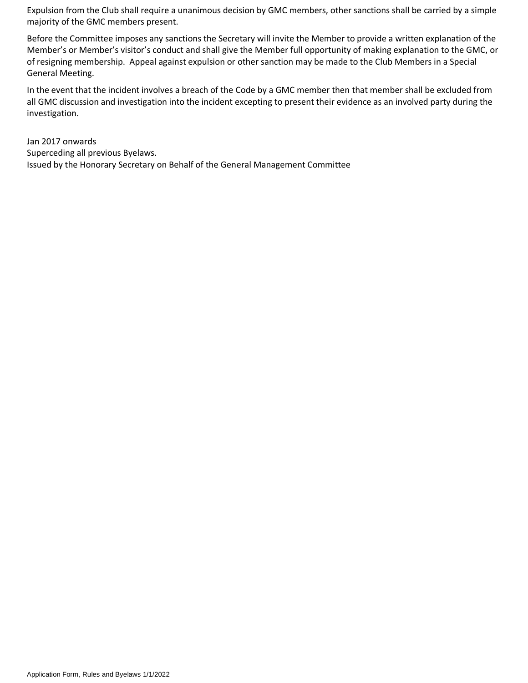Expulsion from the Club shall require a unanimous decision by GMC members, other sanctions shall be carried by a simple majority of the GMC members present.

Before the Committee imposes any sanctions the Secretary will invite the Member to provide a written explanation of the Member's or Member's visitor's conduct and shall give the Member full opportunity of making explanation to the GMC, or of resigning membership. Appeal against expulsion or other sanction may be made to the Club Members in a Special General Meeting.

In the event that the incident involves a breach of the Code by a GMC member then that member shall be excluded from all GMC discussion and investigation into the incident excepting to present their evidence as an involved party during the investigation.

Jan 2017 onwards Superceding all previous Byelaws. Issued by the Honorary Secretary on Behalf of the General Management Committee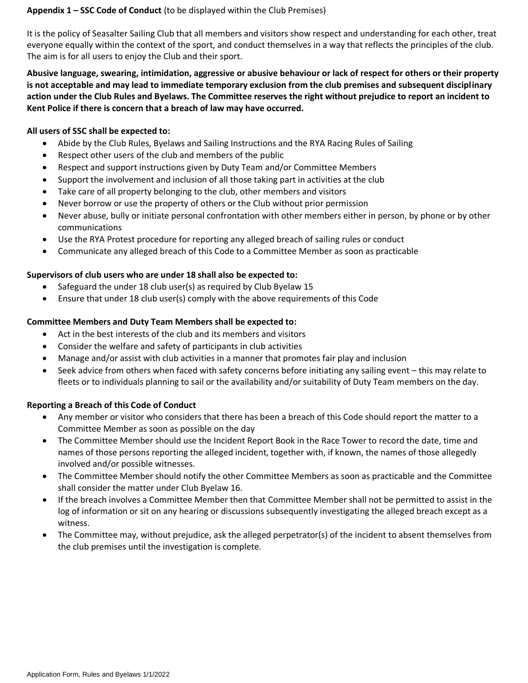#### **Appendix 1 – SSC Code of Conduct** (to be displayed within the Club Premises)

It is the policy of Seasalter Sailing Club that all members and visitors show respect and understanding for each other, treat everyone equally within the context of the sport, and conduct themselves in a way that reflects the principles of the club. The aim is for all users to enjoy the Club and their sport.

**Abusive language, swearing, intimidation, aggressive or abusive behaviour or lack of respect for others or their property is not acceptable and may lead to immediate temporary exclusion from the club premises and subsequent disciplinary action under the Club Rules and Byelaws. The Committee reserves the right without prejudice to report an incident to Kent Police if there is concern that a breach of law may have occurred.**

#### **All users of SSC shall be expected to:**

- Abide by the Club Rules, Byelaws and Sailing Instructions and the RYA Racing Rules of Sailing
- Respect other users of the club and members of the public
- Respect and support instructions given by Duty Team and/or Committee Members
- Support the involvement and inclusion of all those taking part in activities at the club
- Take care of all property belonging to the club, other members and visitors
- Never borrow or use the property of others or the Club without prior permission
- Never abuse, bully or initiate personal confrontation with other members either in person, by phone or by other communications
- Use the RYA Protest procedure for reporting any alleged breach of sailing rules or conduct
- Communicate any alleged breach of this Code to a Committee Member as soon as practicable

#### **Supervisors of club users who are under 18 shall also be expected to:**

- Safeguard the under 18 club user(s) as required by Club Byelaw 15
- Ensure that under 18 club user(s) comply with the above requirements of this Code

#### **Committee Members and Duty Team Members shall be expected to:**

- Act in the best interests of the club and its members and visitors
- Consider the welfare and safety of participants in club activities
- Manage and/or assist with club activities in a manner that promotes fair play and inclusion
- Seek advice from others when faced with safety concerns before initiating any sailing event this may relate to fleets or to individuals planning to sail or the availability and/or suitability of Duty Team members on the day.

## **Reporting a Breach of this Code of Conduct**

- Any member or visitor who considers that there has been a breach of this Code should report the matter to a Committee Member as soon as possible on the day
- The Committee Member should use the Incident Report Book in the Race Tower to record the date, time and names of those persons reporting the alleged incident, together with, if known, the names of those allegedly involved and/or possible witnesses.
- The Committee Member should notify the other Committee Members as soon as practicable and the Committee shall consider the matter under Club Byelaw 16.
- If the breach involves a Committee Member then that Committee Member shall not be permitted to assist in the log of information or sit on any hearing or discussions subsequently investigating the alleged breach except as a witness.
- The Committee may, without prejudice, ask the alleged perpetrator(s) of the incident to absent themselves from the club premises until the investigation is complete.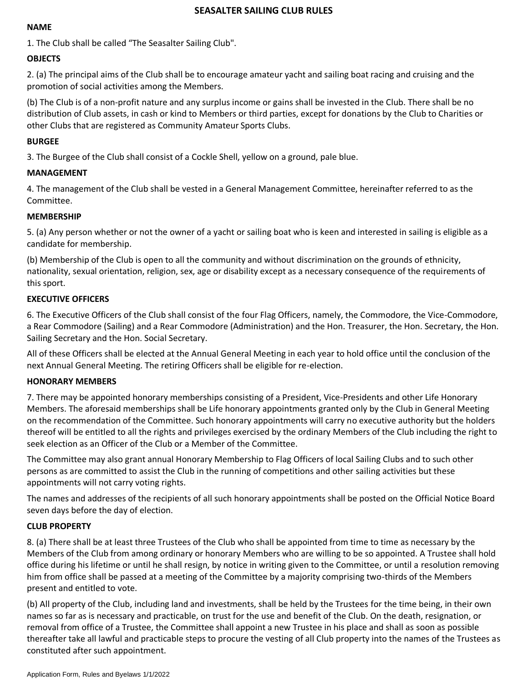#### **SEASALTER SAILING CLUB RULES**

#### **NAME**

1. The Club shall be called "The Seasalter Sailing Club".

### **OBJECTS**

2. (a) The principal aims of the Club shall be to encourage amateur yacht and sailing boat racing and cruising and the promotion of social activities among the Members.

(b) The Club is of a non-profit nature and any surplus income or gains shall be invested in the Club. There shall be no distribution of Club assets, in cash or kind to Members or third parties, except for donations by the Club to Charities or other Clubs that are registered as Community Amateur Sports Clubs.

#### **BURGEE**

3. The Burgee of the Club shall consist of a Cockle Shell, yellow on a ground, pale blue.

#### **MANAGEMENT**

4. The management of the Club shall be vested in a General Management Committee, hereinafter referred to as the Committee.

#### **MEMBERSHIP**

5. (a) Any person whether or not the owner of a yacht or sailing boat who is keen and interested in sailing is eligible as a candidate for membership.

(b) Membership of the Club is open to all the community and without discrimination on the grounds of ethnicity, nationality, sexual orientation, religion, sex, age or disability except as a necessary consequence of the requirements of this sport.

#### **EXECUTIVE OFFICERS**

6. The Executive Officers of the Club shall consist of the four Flag Officers, namely, the Commodore, the Vice-Commodore, a Rear Commodore (Sailing) and a Rear Commodore (Administration) and the Hon. Treasurer, the Hon. Secretary, the Hon. Sailing Secretary and the Hon. Social Secretary.

All of these Officers shall be elected at the Annual General Meeting in each year to hold office until the conclusion of the next Annual General Meeting. The retiring Officers shall be eligible for re-election.

#### **HONORARY MEMBERS**

7. There may be appointed honorary memberships consisting of a President, Vice-Presidents and other Life Honorary Members. The aforesaid memberships shall be Life honorary appointments granted only by the Club in General Meeting on the recommendation of the Committee. Such honorary appointments will carry no executive authority but the holders thereof will be entitled to all the rights and privileges exercised by the ordinary Members of the Club including the right to seek election as an Officer of the Club or a Member of the Committee.

The Committee may also grant annual Honorary Membership to Flag Officers of local Sailing Clubs and to such other persons as are committed to assist the Club in the running of competitions and other sailing activities but these appointments will not carry voting rights.

The names and addresses of the recipients of all such honorary appointments shall be posted on the Official Notice Board seven days before the day of election.

#### **CLUB PROPERTY**

8. (a) There shall be at least three Trustees of the Club who shall be appointed from time to time as necessary by the Members of the Club from among ordinary or honorary Members who are willing to be so appointed. A Trustee shall hold office during his lifetime or until he shall resign, by notice in writing given to the Committee, or until a resolution removing him from office shall be passed at a meeting of the Committee by a majority comprising two-thirds of the Members present and entitled to vote.

(b) All property of the Club, including land and investments, shall be held by the Trustees for the time being, in their own names so far as is necessary and practicable, on trust for the use and benefit of the Club. On the death, resignation, or removal from office of a Trustee, the Committee shall appoint a new Trustee in his place and shall as soon as possible thereafter take all lawful and practicable steps to procure the vesting of all Club property into the names of the Trustees as constituted after such appointment.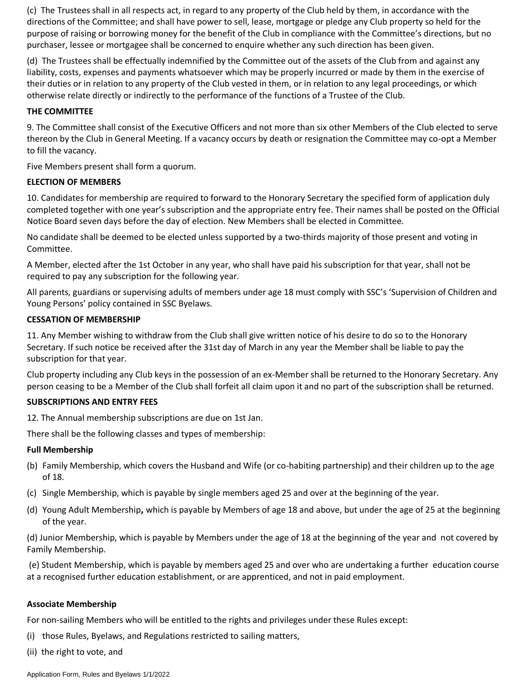(c) The Trustees shall in all respects act, in regard to any property of the Club held by them, in accordance with the directions of the Committee; and shall have power to sell, lease, mortgage or pledge any Club property so held for the purpose of raising or borrowing money for the benefit of the Club in compliance with the Committee's directions, but no purchaser, lessee or mortgagee shall be concerned to enquire whether any such direction has been given.

(d) The Trustees shall be effectually indemnified by the Committee out of the assets of the Club from and against any liability, costs, expenses and payments whatsoever which may be properly incurred or made by them in the exercise of their duties or in relation to any property of the Club vested in them, or in relation to any legal proceedings, or which otherwise relate directly or indirectly to the performance of the functions of a Trustee of the Club.

### **THE COMMITTEE**

9. The Committee shall consist of the Executive Officers and not more than six other Members of the Club elected to serve thereon by the Club in General Meeting. If a vacancy occurs by death or resignation the Committee may co-opt a Member to fill the vacancy.

Five Members present shall form a quorum.

#### **ELECTION OF MEMBERS**

10. Candidates for membership are required to forward to the Honorary Secretary the specified form of application duly completed together with one year's subscription and the appropriate entry fee. Their names shall be posted on the Official Notice Board seven days before the day of election. New Members shall be elected in Committee.

No candidate shall be deemed to be elected unless supported by a two-thirds majority of those present and voting in Committee.

A Member, elected after the 1st October in any year, who shall have paid his subscription for that year, shall not be required to pay any subscription for the following year.

All parents, guardians or supervising adults of members under age 18 must comply with SSC's 'Supervision of Children and Young Persons' policy contained in SSC Byelaws.

#### **CESSATION OF MEMBERSHIP**

11. Any Member wishing to withdraw from the Club shall give written notice of his desire to do so to the Honorary Secretary. If such notice be received after the 31st day of March in any year the Member shall be liable to pay the subscription for that year.

Club property including any Club keys in the possession of an ex-Member shall be returned to the Honorary Secretary. Any person ceasing to be a Member of the Club shall forfeit all claim upon it and no part of the subscription shall be returned.

#### **SUBSCRIPTIONS AND ENTRY FEES**

12. The Annual membership subscriptions are due on 1st Jan.

There shall be the following classes and types of membership:

#### **Full Membership**

- (b) Family Membership, which covers the Husband and Wife (or co-habiting partnership) and their children up to the age of 18.
- (c) Single Membership, which is payable by single members aged 25 and over at the beginning of the year.
- (d) Young Adult Membership**,** which is payable by Members of age 18 and above, but under the age of 25 at the beginning of the year.

(d) Junior Membership, which is payable by Members under the age of 18 at the beginning of the year and not covered by Family Membership.

(e) Student Membership, which is payable by members aged 25 and over who are undertaking a further education course at a recognised further education establishment, or are apprenticed, and not in paid employment.

## **Associate Membership**

For non-sailing Members who will be entitled to the rights and privileges under these Rules except:

- (i) those Rules, Byelaws, and Regulations restricted to sailing matters,
- (ii) the right to vote, and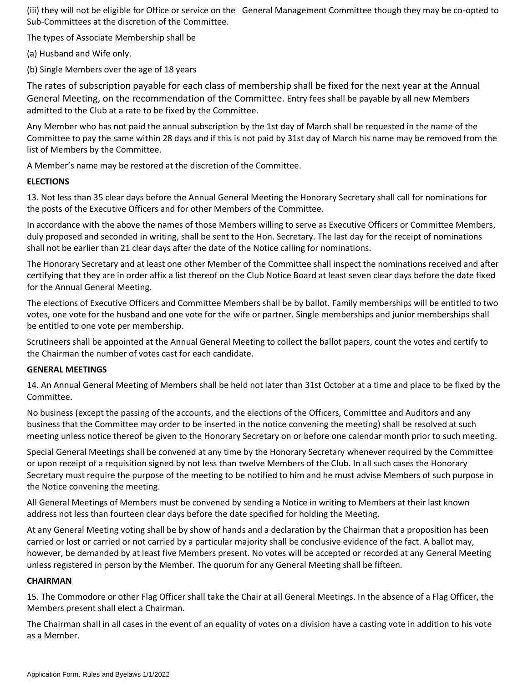(iii) they will not be eligible for Office or service on the General Management Committee though they may be co-opted to Sub-Committees at the discretion of the Committee.

The types of Associate Membership shall be

(a) Husband and Wife only.

(b) Single Members over the age of 18 years

The rates of subscription payable for each class of membership shall be fixed for the next year at the Annual General Meeting, on the recommendation of the Committee. Entry fees shall be payable by all new Members admitted to the Club at a rate to be fixed by the Committee.

Any Member who has not paid the annual subscription by the 1st day of March shall be requested in the name of the Committee to pay the same within 28 days and if this is not paid by 31st day of March his name may be removed from the list of Members by the Committee.

A Member's name may be restored at the discretion of the Committee.

## **ELECTIONS**

13. Not less than 35 clear days before the Annual General Meeting the Honorary Secretary shall call for nominations for the posts of the Executive Officers and for other Members of the Committee.

In accordance with the above the names of those Members willing to serve as Executive Officers or Committee Members, duly proposed and seconded in writing, shall be sent to the Hon. Secretary. The last day for the receipt of nominations shall not be earlier than 21 clear days after the date of the Notice calling for nominations.

The Honorary Secretary and at least one other Member of the Committee shall inspect the nominations received and after certifying that they are in order affix a list thereof on the Club Notice Board at least seven clear days before the date fixed for the Annual General Meeting.

The elections of Executive Officers and Committee Members shall be by ballot. Family memberships will be entitled to two votes, one vote for the husband and one vote for the wife or partner. Single memberships and junior memberships shall be entitled to one vote per membership.

Scrutineers shall be appointed at the Annual General Meeting to collect the ballot papers, count the votes and certify to the Chairman the number of votes cast for each candidate.

## **GENERAL MEETINGS**

14. An Annual General Meeting of Members shall be held not later than 31st October at a time and place to be fixed by the Committee.

No business (except the passing of the accounts, and the elections of the Officers, Committee and Auditors and any business that the Committee may order to be inserted in the notice convening the meeting) shall be resolved at such meeting unless notice thereof be given to the Honorary Secretary on or before one calendar month prior to such meeting.

Special General Meetings shall be convened at any time by the Honorary Secretary whenever required by the Committee or upon receipt of a requisition signed by not less than twelve Members of the Club. In all such cases the Honorary Secretary must require the purpose of the meeting to be notified to him and he must advise Members of such purpose in the Notice convening the meeting.

All General Meetings of Members must be convened by sending a Notice in writing to Members at their last known address not less than fourteen clear days before the date specified for holding the Meeting.

At any General Meeting voting shall be by show of hands and a declaration by the Chairman that a proposition has been carried or lost or carried or not carried by a particular majority shall be conclusive evidence of the fact. A ballot may, however, be demanded by at least five Members present. No votes will be accepted or recorded at any General Meeting unless registered in person by the Member. The quorum for any General Meeting shall be fifteen.

## **CHAIRMAN**

15. The Commodore or other Flag Officer shall take the Chair at all General Meetings. In the absence of a Flag Officer, the Members present shall elect a Chairman.

The Chairman shall in all cases in the event of an equality of votes on a division have a casting vote in addition to his vote as a Member.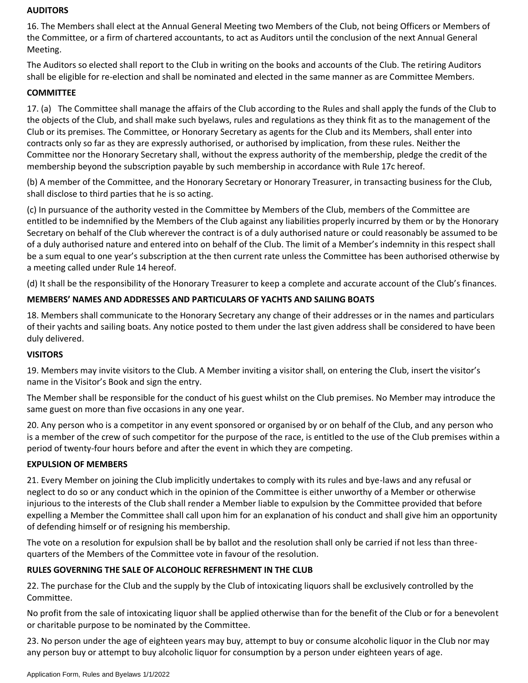#### **AUDITORS**

16. The Members shall elect at the Annual General Meeting two Members of the Club, not being Officers or Members of the Committee, or a firm of chartered accountants, to act as Auditors until the conclusion of the next Annual General Meeting.

The Auditors so elected shall report to the Club in writing on the books and accounts of the Club. The retiring Auditors shall be eligible for re-election and shall be nominated and elected in the same manner as are Committee Members.

## **COMMITTEE**

17. (a) The Committee shall manage the affairs of the Club according to the Rules and shall apply the funds of the Club to the objects of the Club, and shall make such byelaws, rules and regulations as they think fit as to the management of the Club or its premises. The Committee, or Honorary Secretary as agents for the Club and its Members, shall enter into contracts only so far as they are expressly authorised, or authorised by implication, from these rules. Neither the Committee nor the Honorary Secretary shall, without the express authority of the membership, pledge the credit of the membership beyond the subscription payable by such membership in accordance with Rule 17c hereof.

(b) A member of the Committee, and the Honorary Secretary or Honorary Treasurer, in transacting business for the Club, shall disclose to third parties that he is so acting.

(c) In pursuance of the authority vested in the Committee by Members of the Club, members of the Committee are entitled to be indemnified by the Members of the Club against any liabilities properly incurred by them or by the Honorary Secretary on behalf of the Club wherever the contract is of a duly authorised nature or could reasonably be assumed to be of a duly authorised nature and entered into on behalf of the Club. The limit of a Member's indemnity in this respect shall be a sum equal to one year's subscription at the then current rate unless the Committee has been authorised otherwise by a meeting called under Rule 14 hereof.

(d) It shall be the responsibility of the Honorary Treasurer to keep a complete and accurate account of the Club's finances.

## **MEMBERS' NAMES AND ADDRESSES AND PARTICULARS OF YACHTS AND SAILING BOATS**

18. Members shall communicate to the Honorary Secretary any change of their addresses or in the names and particulars of their yachts and sailing boats. Any notice posted to them under the last given address shall be considered to have been duly delivered.

## **VISITORS**

19. Members may invite visitors to the Club. A Member inviting a visitor shall, on entering the Club, insert the visitor's name in the Visitor's Book and sign the entry.

The Member shall be responsible for the conduct of his guest whilst on the Club premises. No Member may introduce the same guest on more than five occasions in any one year.

20. Any person who is a competitor in any event sponsored or organised by or on behalf of the Club, and any person who is a member of the crew of such competitor for the purpose of the race, is entitled to the use of the Club premises within a period of twenty-four hours before and after the event in which they are competing.

#### **EXPULSION OF MEMBERS**

21. Every Member on joining the Club implicitly undertakes to comply with its rules and bye-laws and any refusal or neglect to do so or any conduct which in the opinion of the Committee is either unworthy of a Member or otherwise injurious to the interests of the Club shall render a Member liable to expulsion by the Committee provided that before expelling a Member the Committee shall call upon him for an explanation of his conduct and shall give him an opportunity of defending himself or of resigning his membership.

The vote on a resolution for expulsion shall be by ballot and the resolution shall only be carried if not less than threequarters of the Members of the Committee vote in favour of the resolution.

## **RULES GOVERNING THE SALE OF ALCOHOLIC REFRESHMENT IN THE CLUB**

22. The purchase for the Club and the supply by the Club of intoxicating liquors shall be exclusively controlled by the Committee.

No profit from the sale of intoxicating liquor shall be applied otherwise than for the benefit of the Club or for a benevolent or charitable purpose to be nominated by the Committee.

23. No person under the age of eighteen years may buy, attempt to buy or consume alcoholic liquor in the Club nor may any person buy or attempt to buy alcoholic liquor for consumption by a person under eighteen years of age.